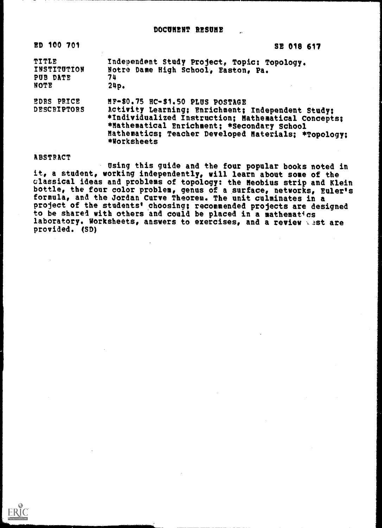| ED 100 701                               | SE 018 617                                                                                                                                                                                                                                                         |
|------------------------------------------|--------------------------------------------------------------------------------------------------------------------------------------------------------------------------------------------------------------------------------------------------------------------|
| TITLE<br>INSTITUTION<br>PUB DATE<br>NOTE | Independent Study Project, Topic: Topology.<br>Notre Dame High School, Easton, Pa.<br>74<br>24p.                                                                                                                                                                   |
| EDRS PRICE<br>DESCRIPTORS                | HF-\$0.75 HC-\$1.50 PLUS POSTAGE<br>Activity Learning; Enrichment; Independent Study;<br>*Individualized Instruction; Mathematical Concepts;<br>*Mathematical Enrichment; *Secondary School<br>Mathematics: Teacher Developed Materials: *Topology:<br>*Worksheets |

#### ABSTRACT

ERIC

Using this guide and the four popular books noted in it, a student, working independently, will learn about some of the classical ideas and problems of topology: the Meobius strip and Klein bottle, the four color problem, genus of a surface, networks, Euler's formula, and the Jordan Curve Theorem. The unit culminates in a project of the students' choosing; recommended projects are designed to be shared with others and could be placed in a mathematics laboratory. Worksheets, answers to exercises, and a review wast are provided. (SD)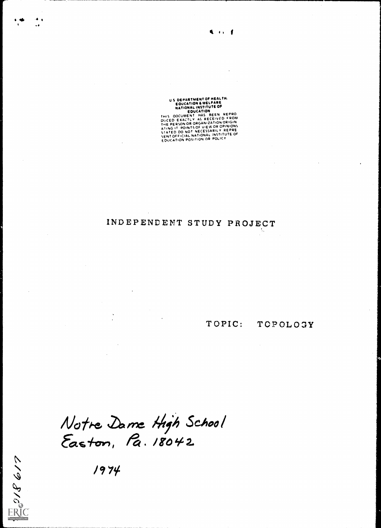US DEPARTMENT OF HEALTH.<br>
EQUCATION & WELFARE<br>
NATIONAL INSTITUTE OF<br>
EQUCATION<br>
THIS OOCUMENT HAS BEEN REPRO<br>
DUCED EXACTLY AS RECEIVED FROM<br>
THE PERSON OR ORGANIZATION ORIGIN<br>
STATED DO NOT NECESSARILY REPRE<br>
SENT OFFICI

#### INDEPENDENT STUDY PROJECT Ą,

TOPOLOGY TOPIC:

 $\ddot{\phantom{a}}$ 

Notre Dame High School<br>Easton, Pa. 18042

1974

 $\frac{1}{2}$  or  $\frac{1}{2}$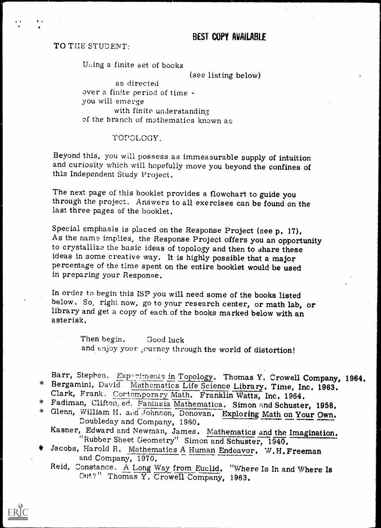# BEST COPY AMIABLE

TO THE STUDENT:

4

Using a finite set of books

(see listing below) as directed

over a finite period of time you will emerge with finite understanding of the branch of mathematics known as

#### TOPOLOGY.

Beyond this, you will possess as immeasurable supply of intuition and curiosity which will hopefully move you beyond the confines of this Independent Study Project.

The next page of this booklet provides a flowchart to guide you through the project. Answers to all exercises can be found on the last three pages of the booklet.

Special emphasis is placed on the Response Project (see p. 17). As the name implies, the Response Project offers you an opportunity to crystallize the basic ideas of topology and then to share these ideas in some creative way. It is highly possible that a major percentage of the time spent on the entire booklet would be used in preparing your Response.

In order to begin this ISP you will need some of the books listed below. So, right now, go to your research center, or math lab, or library and get a copy of each of the books marked below with an asterisk.

Then begin. Good luck and  $\epsilon$ njoy your ,ourney through the world of distortion!

Barr, Stephen. Experiments in Topology. Thomas Y. Crowell Company, 1964.<br>\* Bergamini, David. Mathematics Life Science Library. Time, Inc. 1963.<br>Clark, Frank, Cortemporary Math. Franklin Watts, Inc. 1964.<br>\* Fadiman, Clifton

\* Glenn, William H. and Johnson, Donovan. Exploring Math on Your Own.<br>Doubleday and Company, 1960. Kasner, Edward and Newman, James. Mathematics and the Imagination.

"Rubber Sheet Geometry" Simon and Schuster, 1940. "<br>Jacobs, Harold R. Mathematics A Human Endeavor. W.H. Freeman

and Company, 1970.

Reid, Constance. A Long Way from Euclid. "Where Is In and Where Is Out?" Thomas Y. Crowell Company, 1963.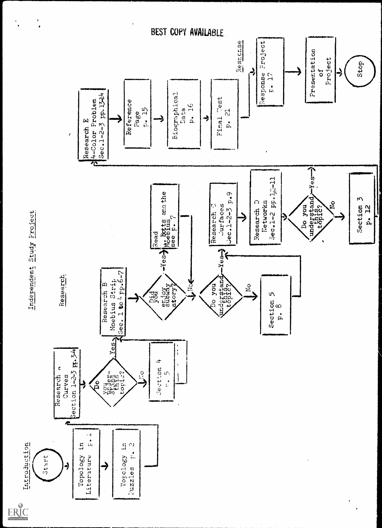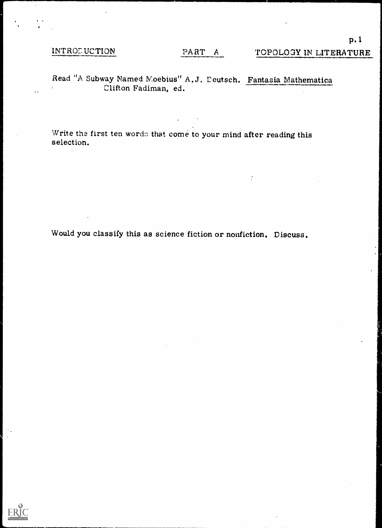# INTROE UCTION

p.1

# Read "A Subway Named Moebius" A. J. Deutsch. Fantasia Mathematica Clifton Fadiman, ed.

Write the first ten words that come to your mind after reading this selection.

Would you classify this as science fiction or nonfiction. Discuss.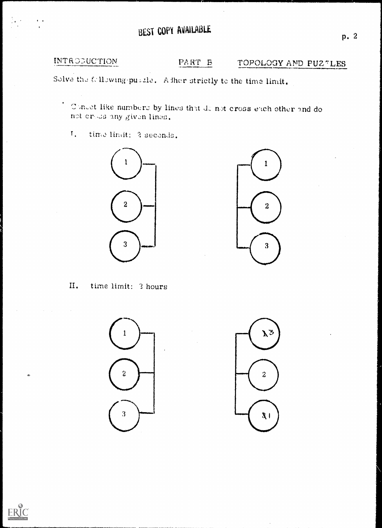# BEST COPY AVAILABLE

INTRODUCTION

#### PART B TOPOLOGY AND PUZTLES

Solve the following pusale. Adher strictly to the time limit.

Concet like numbers by lines that denot cross each other and do not eross any given lines.

 $T_{\star}$ time limit: 2 seconds.





time limit: 3 hours II.



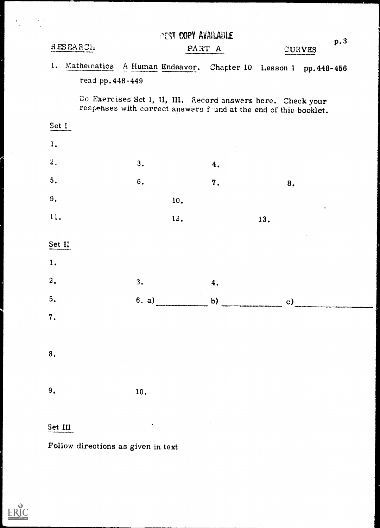|                  |                  |            | <b><i>REST COPY AVAILABLE</i></b> |                                                                                                                                 |     | p. 3      |
|------------------|------------------|------------|-----------------------------------|---------------------------------------------------------------------------------------------------------------------------------|-----|-----------|
| RESEARCH         |                  |            |                                   | PART A                                                                                                                          |     | CURVES    |
| 1. Mathematics   |                  |            |                                   | A Human Endeavor. Chapter 10 Lesson 1 pp. 448-456                                                                               |     |           |
|                  | read pp. 448-449 |            |                                   |                                                                                                                                 |     |           |
|                  |                  |            |                                   | Do Exercises Set I, U, III. Record answers here. Check your<br>responses with correct answers found at the end of this booklet. |     |           |
| Set I            |                  |            |                                   |                                                                                                                                 |     |           |
| 1.               |                  |            |                                   |                                                                                                                                 |     |           |
| 2.               |                  | 3.         |                                   | 4.                                                                                                                              |     |           |
| $5.$             |                  | 6.         |                                   | 7.                                                                                                                              | 8.  |           |
| 9.               |                  |            | 10.                               |                                                                                                                                 |     | $\bullet$ |
| 11.              |                  |            | 12.                               |                                                                                                                                 | 13. |           |
| $\sim$           |                  |            |                                   |                                                                                                                                 |     |           |
| Set II           |                  |            |                                   |                                                                                                                                 |     |           |
| 1.               |                  |            |                                   |                                                                                                                                 |     |           |
| 2.               |                  | 3.         |                                   | 4.                                                                                                                              |     |           |
| 5.               |                  |            |                                   | 6. a) b) c)                                                                                                                     |     |           |
| $\overline{7}$ . |                  |            |                                   |                                                                                                                                 |     |           |
|                  |                  |            |                                   |                                                                                                                                 |     |           |
| 8.               |                  |            |                                   |                                                                                                                                 |     |           |
|                  |                  | $\epsilon$ |                                   |                                                                                                                                 |     |           |
| 9.               |                  | 10.        |                                   |                                                                                                                                 |     |           |
|                  |                  |            |                                   |                                                                                                                                 |     |           |

# Set III

Follow directions as given in text

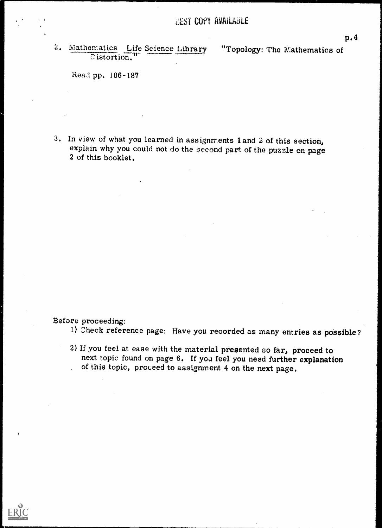2. Mathematics Life Science Library "Topology: The Mathematics of Distortion."

Read pp. 186-187

3. In view of what you learned in assignments land 2 of this section, explain why you could not do the second part of the puzzle on page 2 of this booklet.

Before proceeding:

- 1) Check reference page: Have you recorded as many entries as possible?
- 2) If you feel at ease with the material presented so far, proceed to next topic found on page 6. If you feel you need further explanation of this topic, proceed to assignment 4 on the next page.

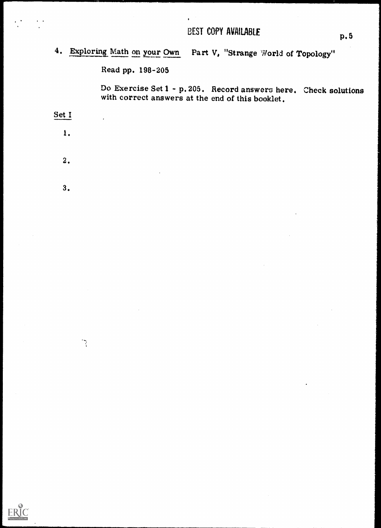4. Exploring Math on your Own Part V, "Strange World of Topology"

 $\bullet$ 

Read pp. 198-205

Do Exercise Set 1 - p.205. Record answers here. Check solutions with correct answers at the end of this booklet.

Set I

1.

 $\epsilon$ 

- 2.
- 3.

 $\mathbb{R}$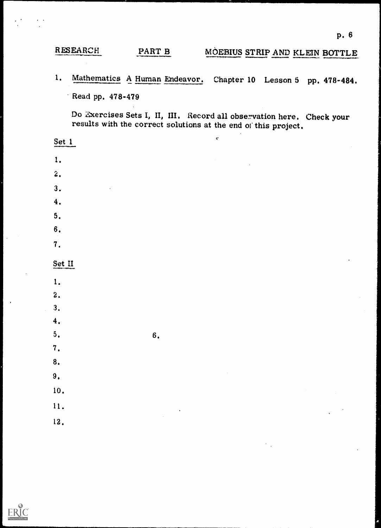# RESEARCH PART B MOEBIUS STRIP AND KLEIN BOTTLE

1. Mathematics A Human Endeavor. Chapter 10 Lesson 5 pp. 478-484. Read pp. 478-479

Do Exercises Sets I, II, III. Record all observation here. Check your results with the correct solutions at the end of this project.

 $\zeta^2$ 

Set 1

- 1.
- 2.
- 3.
- 
- 4.
- 5.
- 6.
- 7.

# Set II

- 
- 1.
- 2.
- 3.
- 4.
- $5.$  6.
- 7.
- 8.
- 9.
- 10.
- 
- 11. 12.
- 
- 

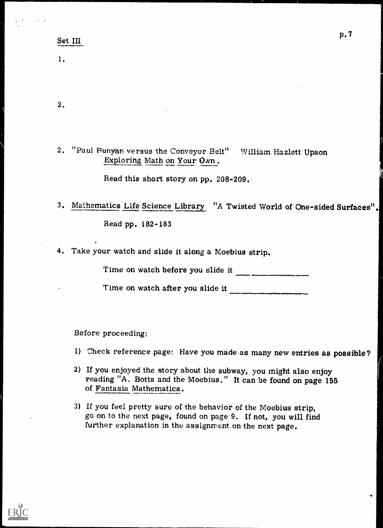### Set III

1.

 $2.$ 

2. "Paul Runyan versus the Conveyor Belt" Exploring Math on Your Own.

Read this short story on pp. 208-209.

3. Mathematics Life Science Library "A Twisted World of One-sided Surfaces". Read pp. 182-183

4. Take your watch and slide it along a Moebius strip.

Time on watch before you slide it

Time on watch after you slide it

Before proceeding:

- 1) Check reference page: Have you made as many new entries as possible?
- 2) If you enjoyed the story about the subway, you might also enjoy reading "A. Botts and the Moebius." It can be found on page 155 of Fantasia Mathematica.
- 3) If you feel pretty sure of the behavior of the Moebius strip, go on to the next page, found on page 9. If not, you will find further explanation in the assignment on the next page.

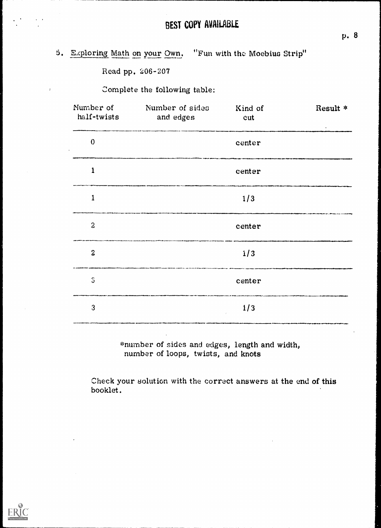| $5.$ Exploring Math on your Own. |  | "Fun with the Moebius Strip" |  |  |
|----------------------------------|--|------------------------------|--|--|
|                                  |  |                              |  |  |

Read pp. 206-207

 $\boldsymbol{\gamma}$ 

Complete the following table:

| Number of<br>half-twists | Number of sides<br>and edges | Kind of<br>cut | Result *<br>$\bullet$ . |
|--------------------------|------------------------------|----------------|-------------------------|
| $\bf{0}$                 |                              | center         |                         |
| $\mathbf{1}$             |                              | center         |                         |
| $\mathbf{1}$             |                              | 1/3            |                         |
| $\boldsymbol{2}$         |                              | center         |                         |
| $\mathbf{2}$             |                              | 1/3            |                         |
| $\mathbb S$              |                              | center         |                         |
| 3                        |                              | 1/3            |                         |

\*number of sides and edges, length and width, number of loops, twists, and knots

Check your solution with the correct answers at the end of this booklet.



p. 8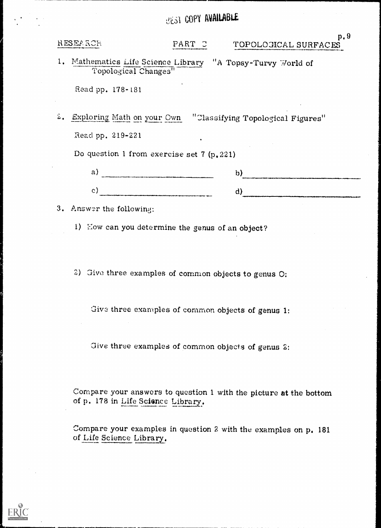# **GEST COPY AVAILABLE**

RESEARCH

#### PART C P. 9 TOPOLOGICAL SURFACES

1. Mathematics Life Science Library "A Topsy-Turvy World of Topological Changes"

Read pp. 178-181

2. Exploring Math on your Own "Classifying Topological Figures" Read pp. 219-221

Do question 1 from exercise set 7 (p.221)

| . .                               | $\sim$                                                        |
|-----------------------------------|---------------------------------------------------------------|
| Adv - Philadelphia and a Printers | $\cdots$                                                      |
| $\overline{\phantom{a}}$          | the property of the American con-<br>_________________<br>--- |

3. Answer the followin:

1) How can you determine the genus of an object?

2) Give three examples of common objects to genus 0:

Give three examples of common objects of genus 1:

Give three examples of common objects of genus 2:

Compare your answers to question 1 with the picture at the bottom of p. 178 in Life Science Library.

Compare your examples in question 2 with the examples on p. 181 of Life Science Library.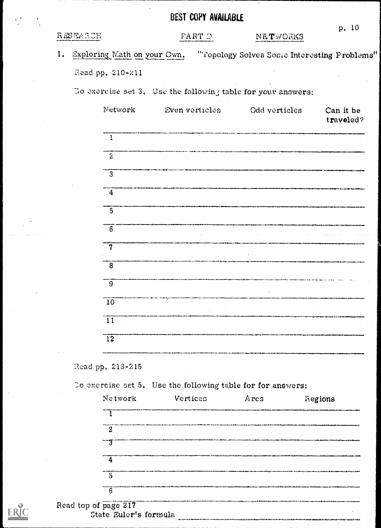|          |                              | <b>BEST COPY AVAILABLE</b>                                   |                                             |                        |
|----------|------------------------------|--------------------------------------------------------------|---------------------------------------------|------------------------|
| RESEARCH |                              | PARTD                                                        | NETWORKS                                    | p. 10                  |
| 1.       | Exploring Math on your Own,  |                                                              | "Topology Solves Some Interesting Problems" |                        |
|          | Read pp. 210-211             |                                                              |                                             |                        |
|          |                              | Do exercise set 3. Use the following table for your answers: |                                             |                        |
|          | Network                      | Even verticles                                               | Odd verticles                               | Can it be<br>traveled? |
|          | $\mathbf{1}$                 |                                                              |                                             |                        |
|          | $\mathbb{R}^2$               |                                                              |                                             |                        |
|          | $\overline{3}$               |                                                              |                                             |                        |
|          | $\overline{4}$               |                                                              |                                             |                        |
|          | 5                            |                                                              |                                             |                        |
|          | $\left\lceil 6 \right\rceil$ |                                                              |                                             |                        |
|          | $\overline{7}$               |                                                              |                                             |                        |
|          | 8                            |                                                              |                                             |                        |
|          | 9                            |                                                              |                                             |                        |
|          | $\overline{10}$              |                                                              |                                             |                        |
|          | 11                           |                                                              |                                             |                        |
|          | $\overline{12}$              |                                                              |                                             |                        |
|          |                              |                                                              |                                             |                        |

Read pp. 213-215

To exercise set 5. Use the following table for for answers:

 $\mathcal{L}(\mathcal{L}_1,\mathcal{L}_2)$  .

 $\bar{\mathcal{A}}$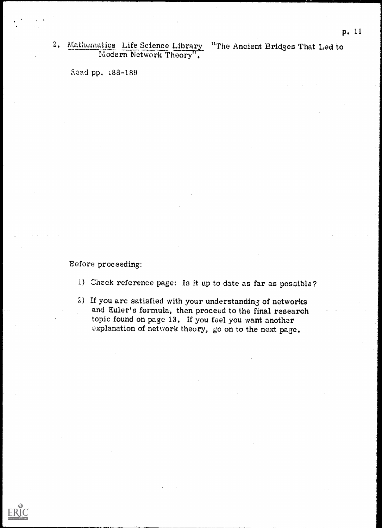# 2. Mathematics Life Science Library "The Ancient Bridges That Led to Modern Network Theory".

aead pp. 188-189

Before proceeding:

- 1) Check reference page: Is it up to date as far as possible?
- 2.) If you are satisfied with your understanding of networks and Euler's formula, then proceed to the final research topic found on page 13. If you feel you want another explanation of network theory, go on to the next page.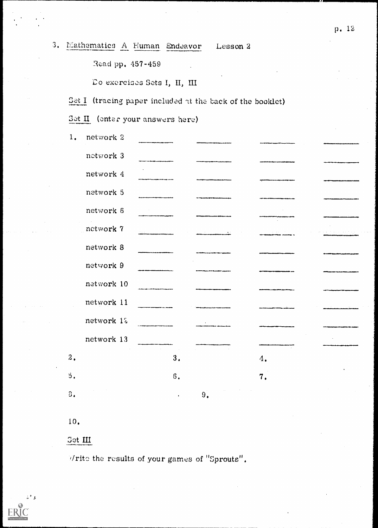| 3. Mathematics A Human Endeavor                                                                                  |  | Lesson 2 |  |
|------------------------------------------------------------------------------------------------------------------|--|----------|--|
| where we considered the constitution of the state of the constitution of the constitution of the constitution of |  |          |  |

Read pp. 457-459

Do exercises Sets I, II, III

Set I (tracing paper included at the back of the booklet)

Set II (enter your answers here)

| 1.               | network 2  |    |                              |    |  |
|------------------|------------|----|------------------------------|----|--|
|                  | network 3  |    |                              |    |  |
|                  | network 4  |    |                              |    |  |
|                  | network 5  |    |                              |    |  |
|                  | network 6  |    |                              |    |  |
|                  | network 7  |    | contract the contract of the |    |  |
|                  | network 8  |    |                              |    |  |
|                  | network 9  |    |                              |    |  |
|                  | network 10 |    |                              |    |  |
|                  | network 11 |    | .                            |    |  |
|                  | network 12 |    |                              |    |  |
|                  | network 13 |    |                              |    |  |
| $\overline{a}$ . |            | 3. |                              | 4. |  |
| ΰ.               |            | 6. |                              | 7. |  |
| 3.               |            |    | 9.                           |    |  |
|                  |            |    |                              |    |  |

 $10.$ 

# Set III

Write the results of your games of "Sprouts".



p. 12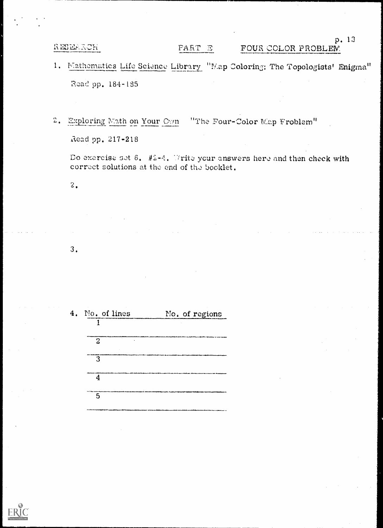RESEARCH

## PART E

# FOUR COLOR PROBLEW.

1. Mathematics Life Science Library "Map Coloring: The Topologists' Enigma" Read pp. 184-185

2. Exploring Math on Your Own "The Four-Color Map Froblem" Read pp. 217-218

Do exercise set 6.  $#2-4$ . Write your answers here and then check with correct solutions at the end of the booklet.

 $\overline{2}$  .

 $3.$ 

| 4. | No. of lines | No. of regions |
|----|--------------|----------------|
|    |              |                |
|    | 2<br>٠       |                |
|    | 12           |                |
|    |              |                |
|    | 5            |                |



p. 13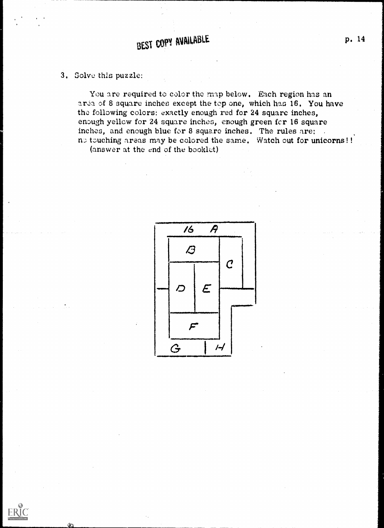3. Solve this puzzle:

You are required to color the map below. Each region has an area of 8 square inches except the top one, which has 16. You have the following colors: exactly enough red for 24 square inches, enough yellow for 24 square inches, enough green fcr 16 square inches, and enough blue for 8 square inches. The rules are: . n; tzuching areas may be colored the same. Watch out for unicorns!!

(answer at the end of the booklet)

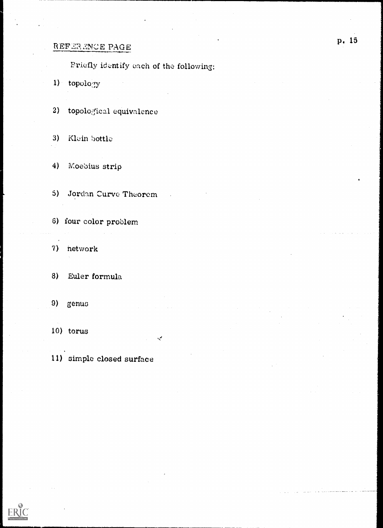# REFERENCE PAGE

Friefly identify each of the following:

1) topology

2) topological equivalence

3) Klein bottle

4) Moeblus strip

5) Jordan Curve Theorem

- 6) four color problem
- 7) network

8) Euler formula

9) genus

10) torus فيما

11) simple closed surface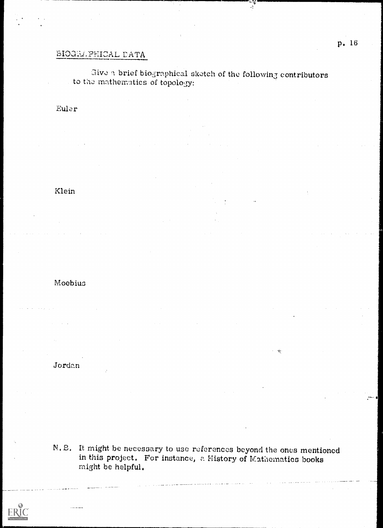# **SIOGELPHICAL DATA**

# Give a brief biographical sketch of the following contributors to the mathematics of topology:

 $\frac{1}{2}$ 

### Euler

# Klein

## Moebius

### Jordan

N.E. It might be necessary to use references beyond the ones mentioned in this project. For instance, a History of Mathematics books might be helpful.

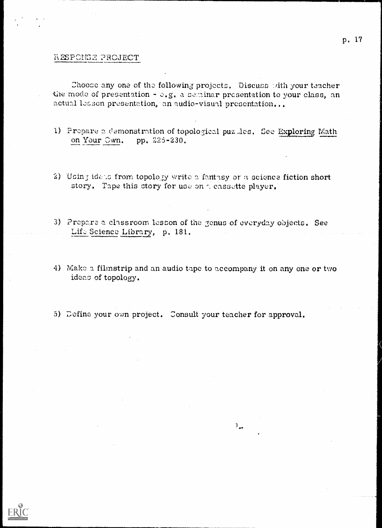#### RESPONSE PROJECT

Choose any one of the following projects. Discuss with your teacher the mode of presentation - e.g. a seminar presentation to your class, an actual leason presentation, an audio-visual presentation...

- 1) Propare a demonstration of topological puz les. See Exploring Math on Your Own. pp. 225-230.
- 2) Using idens from topology write a fantasy or a science fiction short story. Tape this story for use on a cassette player.
- 3) Prepare a classroom lesson of the genus of everyday objects. See Lift Science Library, p. 181.
- 4) Make a filmstrip and an audio tape to accompany it on any one or two ideas of topology.

 $\mathcal{X}_{\text{new}}$ 

5) Define your own project. Consult your teacher for approval.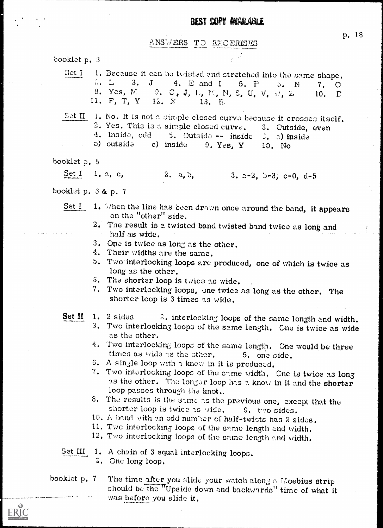#### ANSWERS TO EXCERISES

booklet p. 3 1. Because it can be twisted and stretched into the same shape. Set I  $\Sigma$ . L  $3. J$  $4. E and I$  $5. F$  $\delta$  . N 8. Yes, M. 9.  $C$ , J, L, M, N, S, U, V, W, Z, 11. F. T. Y  $12. X$ 13. R.  $S$ et II 1. No. It is not a simple closed curve because it crosses itself. 2. Yes. This is a simple closed curve. 3. Outside, even 4. Inside, odd 5. Outside -- inside  $\beta$ . a) inside b) outside c) inside  $9. Yes. Y$ 10. No booklet p. 5  $2. a, b, 3. a-2, b-3, c-0, d-5$ Set I  $1, a, c,$ booklet p. 3 & p. 7 1. Then the line has been drawn once around the band, it appears Set I on the "other" side. 2. The result is a twisted band twisted band twice as long and half as wide. 3. One is twice as long as the other. 4. Their widths are the same. 5. Two interlocking loops are produced, one of which is twice as long as the other. 3. The shorter loop is twice as wide. 7. Two interlocking loops, one twice as long as the other. The shorter loop is 3 times as wide. 2. interlocking loops of the same length and width. Set II 1.  $2$  sides 3. Two interlocking loops of the same length. Cne is twice as wide as the other. 4. Two interlocking loops of the same length. One would be three times as wide as the other. 5. one side. 6. A single loop with a know in it is produced. 7. Two interlocking loops of the same width. One is twice as long as the other. The longer loop has a know in it and the shorter loop passes through the knot.. 8. The results is the same as the previous one, except that the shorter loop is twice as wide. 9. two sides. 10. A band with an odd number of half-twists has 2 sides. 11. Two interlocking loops of the same length and width. 12. Two interlocking loops of the same length and width. Set III 1. A chain of 3 equal interlocking loops. 2. One long loop.

The time after you slide your watch along a Moebius strip booklet p. 7 should be the "Upside down and backwards" time of what it was before you slide it.



p. 18

 $7.$ 

10.

 $\Omega$ 

 $\Gamma$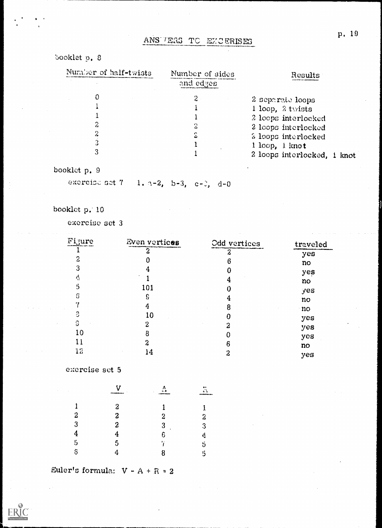# ANS / ERS TO EXCERISES

# booklet p. 8

| Number of half-twists | Number of sides | Results                     |
|-----------------------|-----------------|-----------------------------|
|                       | and edges       |                             |
|                       | 2               | 2 separate loops            |
|                       |                 | 1 loop, $2$ twists          |
|                       |                 | 2 loops interlocked         |
| 2                     |                 | 2 loops interlocked         |
|                       | ۵               | 2 loops interlocked         |
| 3                     |                 | 1 loop, 1 knot              |
| 3                     |                 | 2 loops interlocked, 1 knot |

# booklet p. 9

exercise set 7 1. a-2, b-3, c-3, d-0

# booklet p. 10

exercise set 3

| Figure | Even vertices | Odd vertices     | traveled |
|--------|---------------|------------------|----------|
|        |               | $\boldsymbol{z}$ | yes      |
| 2      |               | 6                | no       |
| 3      |               |                  | yes      |
| 4      |               | 4                | no       |
| 5      | 101           | 0                | yes      |
| G      | S             | 4                | no       |
| ۰,     | 4             | 8                | no       |
| 3      | 10            | O                |          |
| G      | 2             | 2                | yes      |
| 10     | 8             |                  | yes      |
|        | 2             | 6                | yes      |
| 12     | 14            | 2                | no       |
|        |               |                  | yes      |

exercise set 5

|                  | ۷<br>بيجسه هددهم | --------       | F.<br>------ |  |
|------------------|------------------|----------------|--------------|--|
|                  | $\boldsymbol{2}$ |                | 1            |  |
| $\boldsymbol{2}$ | $\mathbf 3$      | $\overline{2}$ | 2            |  |
| 3                | 2                | 3              | 3            |  |
| 4                | 4                | 6              | 4            |  |
| $\mathfrak{s}$   | 5                | ï              | 5            |  |
| $\delta$         |                  | 8              | 5            |  |

Euler's formula:  $V - A + R = 2$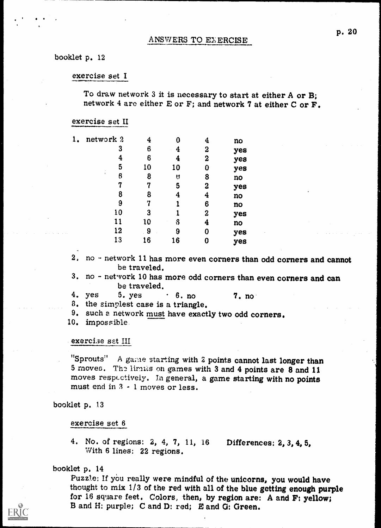#### ANSWERS TO EXERCISE

#### booklet p. 12

#### exercise set I

To draw network 3 it is necessary to start at either A or B; network 4 are either E or F; and network 7 at either C or F.

#### exercise set II

| 1. | network 2 | 4  |    | 4                | no  |  |
|----|-----------|----|----|------------------|-----|--|
|    | 3         | 6  | 4  | 2                | yes |  |
|    | 4         | 6  |    | $\boldsymbol{2}$ | yes |  |
|    | 5         | 10 | 10 | 0                | yes |  |
|    | ÷<br>6    | 8  | U  | 8                | no  |  |
|    | -7        | 17 | 5  | 2                | yes |  |
|    | 8         | 8  | 4  | 4                | no  |  |
|    | 9         | 7  |    | 6                | no  |  |
|    | 10        | 3  |    | 2                | yes |  |
|    | 11        | 10 | \$ | 4                | no  |  |
|    | 12        | 9  | 9  | 0                | yes |  |
|    | 13        | 16 | 16 | 0                | yes |  |

2. no - network 11 has more even corners than odd corners and cannot be traveled.

3, no - network 10 has more odd corners than even corners and can be traveled.

4. yes  $5.$  yes  $\cdot$   $6.$  no  $7.$  no

8. the simplest case is a triangle.

9. such a network must have exactly two odd corners.

10. impossible

#### exercise set III

"Sprouts" A game starting with 2 points cannot last longer than 5 moves. The limits on games with 3 and 4 points are 8 and 11 moves respectively. In general, a game starting with no points must end in  $3 - 1$  moves or less.

booklet p. 13

exercise set 6

4. No. of regions: 2, 4, 7, 11, 16 Differences: 2, 3, 4, 5, With 6 lines: 22 regions.

#### booklet p. 14

Puzzle: If you really were mindful of the unicorns, you would have thought to mix 1/3 of the red with all of the blue getting enough purple for 16 square feet. Colors, then, by region are: A and F: yellow; B and H: purple; C and D: red; B and 0: Green.